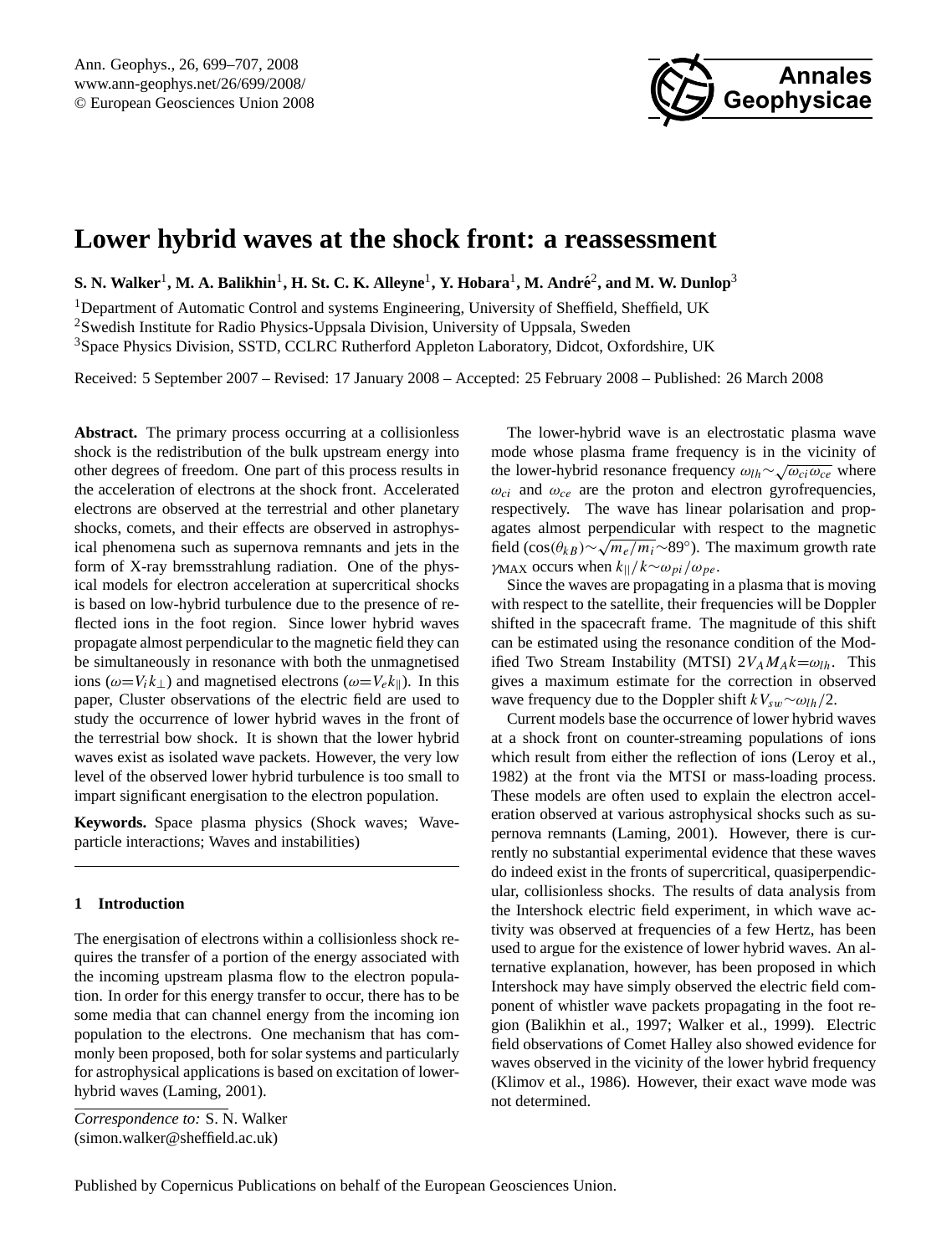

# <span id="page-0-0"></span>**Lower hybrid waves at the shock front: a reassessment**

 ${\bf S.}$  N. Walker<sup>1</sup>, M. A. Balikhin<sup>1</sup>, H. St. C. K. Alleyne<sup>1</sup>, Y. Hobara<sup>1</sup>, M. André<sup>2</sup>, and M. W. Dunlop<sup>3</sup>

<sup>1</sup>Department of Automatic Control and systems Engineering, University of Sheffield, Sheffield, UK <sup>2</sup>Swedish Institute for Radio Physics-Uppsala Division, University of Uppsala, Sweden <sup>3</sup>Space Physics Division, SSTD, CCLRC Rutherford Appleton Laboratory, Didcot, Oxfordshire, UK

Received: 5 September 2007 – Revised: 17 January 2008 – Accepted: 25 February 2008 – Published: 26 March 2008

**Abstract.** The primary process occurring at a collisionless shock is the redistribution of the bulk upstream energy into other degrees of freedom. One part of this process results in the acceleration of electrons at the shock front. Accelerated electrons are observed at the terrestrial and other planetary shocks, comets, and their effects are observed in astrophysical phenomena such as supernova remnants and jets in the form of X-ray bremsstrahlung radiation. One of the physical models for electron acceleration at supercritical shocks is based on low-hybrid turbulence due to the presence of reflected ions in the foot region. Since lower hybrid waves propagate almost perpendicular to the magnetic field they can be simultaneously in resonance with both the unmagnetised ions ( $\omega=V_i k_\perp$ ) and magnetised electrons ( $\omega=V_e k_\parallel$ ). In this paper, Cluster observations of the electric field are used to study the occurrence of lower hybrid waves in the front of the terrestrial bow shock. It is shown that the lower hybrid waves exist as isolated wave packets. However, the very low level of the observed lower hybrid turbulence is too small to impart significant energisation to the electron population.

**Keywords.** Space plasma physics (Shock waves; Waveparticle interactions; Waves and instabilities)

## <span id="page-0-1"></span>**1 Introduction**

The energisation of electrons within a collisionless shock requires the transfer of a portion of the energy associated with the incoming upstream plasma flow to the electron population. In order for this energy transfer to occur, there has to be some media that can channel energy from the incoming ion population to the electrons. One mechanism that has commonly been proposed, both for solar systems and particularly for astrophysical applications is based on excitation of lowerhybrid waves [\(Laming,](#page-8-0) [2001\)](#page-8-0).

*Correspondence to:* S. N. Walker (simon.walker@sheffield.ac.uk)

The lower-hybrid wave is an electrostatic plasma wave mode whose plasma frame frequency is in the vicinity of  $\frac{d}{dx}$ the lower-hybrid resonance frequency  $\omega_{lh} \sim \sqrt{\omega_{ci} \omega_{ce}}$  where  $\omega_{ci}$  and  $\omega_{ce}$  are the proton and electron gyrofrequencies, respectively. The wave has linear polarisation and propagates almost perpendicular with respect to the magnetic √ field (cos( $\theta_{kB}$ )∼ $\sqrt{m_e/m_i}$ ~89°). The maximum growth rate γ<sub>MAX</sub> occurs when  $k_{\parallel}/k \sim \omega_{pi}/\omega_{pe}$ .

Since the waves are propagating in a plasma that is moving with respect to the satellite, their frequencies will be Doppler shifted in the spacecraft frame. The magnitude of this shift can be estimated using the resonance condition of the Modified Two Stream Instability (MTSI)  $2V_A M_A k = \omega_{lh}$ . This gives a maximum estimate for the correction in observed wave frequency due to the Doppler shift  $kV_{sw} \sim \omega_{lh}/2$ .

Current models base the occurrence of lower hybrid waves at a shock front on counter-streaming populations of ions which result from either the reflection of ions [\(Leroy et al.,](#page-8-1) [1982\)](#page-8-1) at the front via the MTSI or mass-loading process. These models are often used to explain the electron acceleration observed at various astrophysical shocks such as supernova remnants [\(Laming,](#page-8-0) [2001\)](#page-8-0). However, there is currently no substantial experimental evidence that these waves do indeed exist in the fronts of supercritical, quasiperpendicular, collisionless shocks. The results of data analysis from the Intershock electric field experiment, in which wave activity was observed at frequencies of a few Hertz, has been used to argue for the existence of lower hybrid waves. An alternative explanation, however, has been proposed in which Intershock may have simply observed the electric field component of whistler wave packets propagating in the foot region [\(Balikhin et al.,](#page-8-2) [1997;](#page-8-2) [Walker et al.,](#page-8-3) [1999\)](#page-8-3). Electric field observations of Comet Halley also showed evidence for waves observed in the vicinity of the lower hybrid frequency [\(Klimov et al.,](#page-8-4) [1986\)](#page-8-4). However, their exact wave mode was not determined.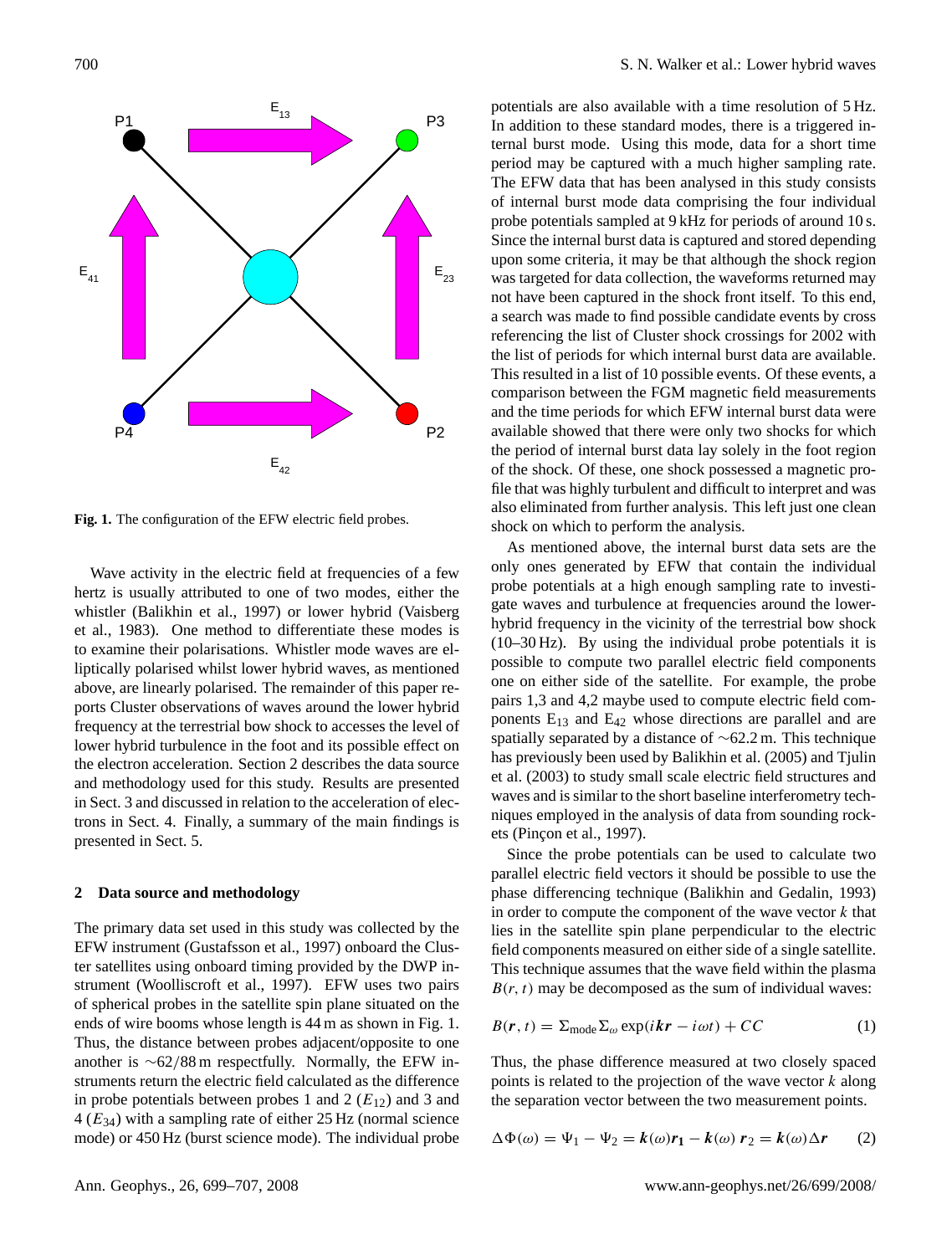

<span id="page-1-1"></span>**Fig. 1.** The configuration of the EFW electric field probes.

Wave activity in the electric field at frequencies of a few hertz is usually attributed to one of two modes, either the whistler [\(Balikhin et al.,](#page-8-2) [1997\)](#page-8-2) or lower hybrid [\(Vaisberg](#page-8-5) [et al.,](#page-8-5) [1983\)](#page-8-5). One method to differentiate these modes is to examine their polarisations. Whistler mode waves are elliptically polarised whilst lower hybrid waves, as mentioned above, are linearly polarised. The remainder of this paper reports Cluster observations of waves around the lower hybrid frequency at the terrestrial bow shock to accesses the level of lower hybrid turbulence in the foot and its possible effect on the electron acceleration. Section [2](#page-1-0) describes the data source and methodology used for this study. Results are presented in Sect. [3](#page-2-0) and discussed in relation to the acceleration of electrons in Sect. [4.](#page-5-0) Finally, a summary of the main findings is presented in Sect. [5.](#page-8-6)

#### <span id="page-1-0"></span>**2 Data source and methodology**

The primary data set used in this study was collected by the EFW instrument [\(Gustafsson et al.,](#page-8-7) [1997\)](#page-8-7) onboard the Cluster satellites using onboard timing provided by the DWP instrument [\(Woolliscroft et al.,](#page-8-8) [1997\)](#page-8-8). EFW uses two pairs of spherical probes in the satellite spin plane situated on the ends of wire booms whose length is 44 m as shown in Fig. [1.](#page-1-1) Thus, the distance between probes adjacent/opposite to one another is ∼62/88 m respectfully. Normally, the EFW instruments return the electric field calculated as the difference in probe potentials between probes 1 and 2  $(E_{12})$  and 3 and  $4 (E_{34})$  with a sampling rate of either 25 Hz (normal science mode) or 450 Hz (burst science mode). The individual probe potentials are also available with a time resolution of 5 Hz. In addition to these standard modes, there is a triggered internal burst mode. Using this mode, data for a short time period may be captured with a much higher sampling rate. The EFW data that has been analysed in this study consists of internal burst mode data comprising the four individual probe potentials sampled at 9 kHz for periods of around 10 s. Since the internal burst data is captured and stored depending upon some criteria, it may be that although the shock region was targeted for data collection, the waveforms returned may not have been captured in the shock front itself. To this end, a search was made to find possible candidate events by cross referencing the list of Cluster shock crossings for 2002 with the list of periods for which internal burst data are available. This resulted in a list of 10 possible events. Of these events, a comparison between the FGM magnetic field measurements and the time periods for which EFW internal burst data were available showed that there were only two shocks for which the period of internal burst data lay solely in the foot region of the shock. Of these, one shock possessed a magnetic profile that was highly turbulent and difficult to interpret and was also eliminated from further analysis. This left just one clean shock on which to perform the analysis.

As mentioned above, the internal burst data sets are the only ones generated by EFW that contain the individual probe potentials at a high enough sampling rate to investigate waves and turbulence at frequencies around the lowerhybrid frequency in the vicinity of the terrestrial bow shock (10–30 Hz). By using the individual probe potentials it is possible to compute two parallel electric field components one on either side of the satellite. For example, the probe pairs 1,3 and 4,2 maybe used to compute electric field components  $E_{13}$  and  $E_{42}$  whose directions are parallel and are spatially separated by a distance of ∼62.2 m. This technique has previously been used by [Balikhin et al.](#page-8-9) [\(2005\)](#page-8-9) and [Tjulin](#page-8-10) [et al.](#page-8-10) [\(2003\)](#page-8-10) to study small scale electric field structures and waves and is similar to the short baseline interferometry techniques employed in the analysis of data from sounding rock-ets (Pinçon et al., [1997\)](#page-8-11).

Since the probe potentials can be used to calculate two parallel electric field vectors it should be possible to use the phase differencing technique [\(Balikhin and Gedalin,](#page-8-12) [1993\)](#page-8-12) in order to compute the component of the wave vector  $k$  that lies in the satellite spin plane perpendicular to the electric field components measured on either side of a single satellite. This technique assumes that the wave field within the plasma  $B(r, t)$  may be decomposed as the sum of individual waves:

$$
B(r, t) = \sum_{\text{mode}} \sum_{\omega} \exp(ikr - i\omega t) + CC \tag{1}
$$

Thus, the phase difference measured at two closely spaced points is related to the projection of the wave vector  $k$  along the separation vector between the two measurement points.

$$
\Delta \Phi(\omega) = \Psi_1 - \Psi_2 = k(\omega)r_1 - k(\omega) r_2 = k(\omega)\Delta r \qquad (2)
$$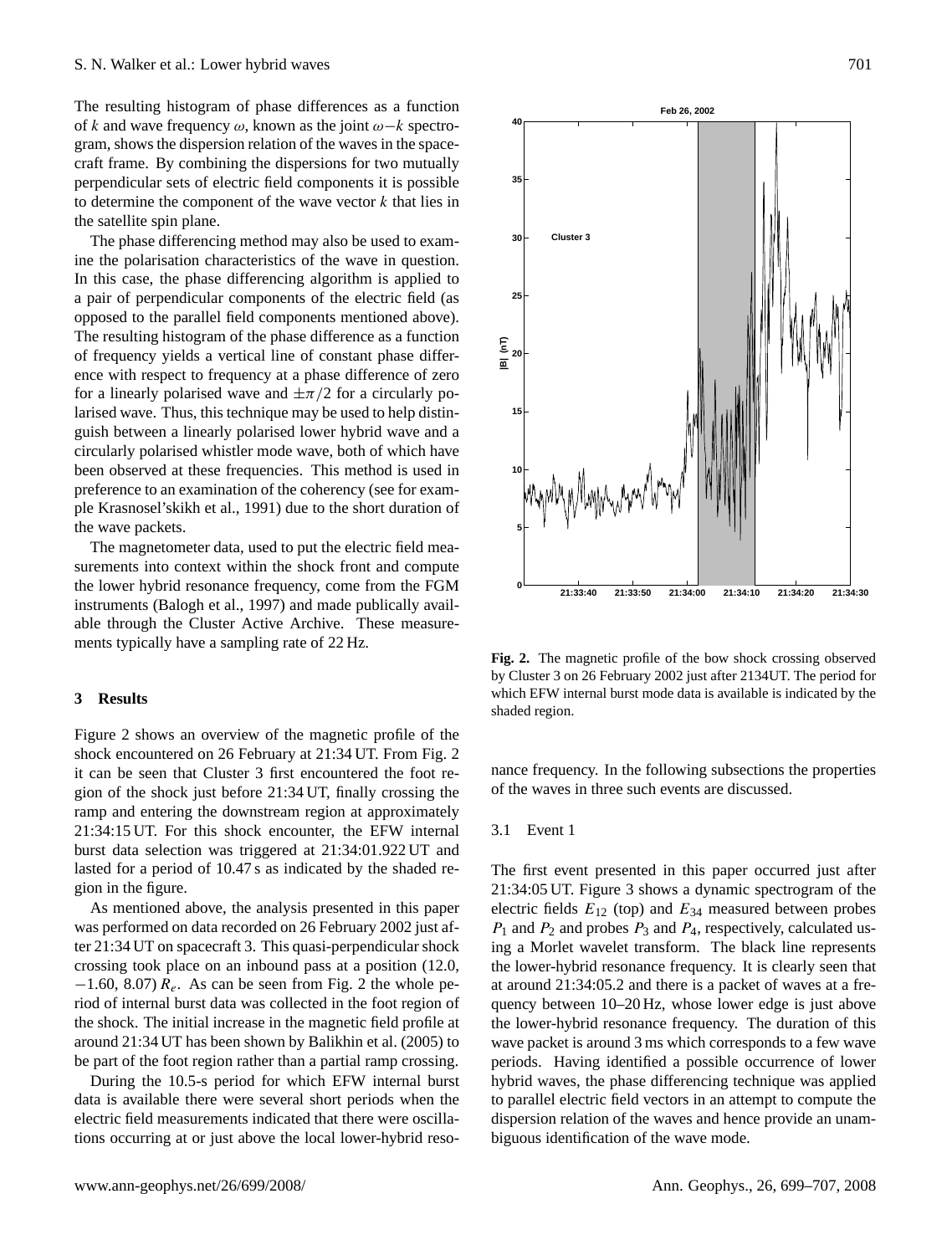The resulting histogram of phase differences as a function of k and wave frequency  $\omega$ , known as the joint  $\omega - k$  spectrogram, shows the dispersion relation of the waves in the spacecraft frame. By combining the dispersions for two mutually perpendicular sets of electric field components it is possible to determine the component of the wave vector  $k$  that lies in the satellite spin plane.

The phase differencing method may also be used to examine the polarisation characteristics of the wave in question. In this case, the phase differencing algorithm is applied to a pair of perpendicular components of the electric field (as opposed to the parallel field components mentioned above). The resulting histogram of the phase difference as a function of frequency yields a vertical line of constant phase difference with respect to frequency at a phase difference of zero for a linearly polarised wave and  $\pm \pi/2$  for a circularly polarised wave. Thus, this technique may be used to help distinguish between a linearly polarised lower hybrid wave and a circularly polarised whistler mode wave, both of which have been observed at these frequencies. This method is used in preference to an examination of the coherency (see for example [Krasnosel'skikh et al.,](#page-8-13) [1991\)](#page-8-13) due to the short duration of the wave packets.

The magnetometer data, used to put the electric field measurements into context within the shock front and compute the lower hybrid resonance frequency, come from the FGM instruments [\(Balogh et al.,](#page-8-14) [1997\)](#page-8-14) and made publically available through the Cluster Active Archive. These measurements typically have a sampling rate of 22 Hz.

### <span id="page-2-0"></span>**3 Results**

Figure [2](#page-2-1) shows an overview of the magnetic profile of the shock encountered on 26 February at 21:34 UT. From Fig. [2](#page-2-1) it can be seen that Cluster 3 first encountered the foot region of the shock just before 21:34 UT, finally crossing the ramp and entering the downstream region at approximately 21:34:15 UT. For this shock encounter, the EFW internal burst data selection was triggered at 21:34:01.922 UT and lasted for a period of 10.47 s as indicated by the shaded region in the figure.

As mentioned above, the analysis presented in this paper was performed on data recorded on 26 February 2002 just after 21:34 UT on spacecraft 3. This quasi-perpendicular shock crossing took place on an inbound pass at a position (12.0,  $-1.60$ , 8.07)  $R_e$ . As can be seen from Fig. [2](#page-2-1) the whole period of internal burst data was collected in the foot region of the shock. The initial increase in the magnetic field profile at around 21:34 UT has been shown by [Balikhin et al.](#page-8-9) [\(2005\)](#page-8-9) to be part of the foot region rather than a partial ramp crossing.

During the 10.5-s period for which EFW internal burst data is available there were several short periods when the electric field measurements indicated that there were oscillations occurring at or just above the local lower-hybrid reso-



<span id="page-2-1"></span>**Fig. 2.** The magnetic profile of the bow shock crossing observed by Cluster 3 on 26 February 2002 just after 2134UT. The period for which EFW internal burst mode data is available is indicated by the shaded region.

nance frequency. In the following subsections the properties of the waves in three such events are discussed.

#### 3.1 Event 1

The first event presented in this paper occurred just after 21:34:05 UT. Figure [3](#page-3-0) shows a dynamic spectrogram of the electric fields  $E_{12}$  (top) and  $E_{34}$  measured between probes  $P_1$  and  $P_2$  and probes  $P_3$  and  $P_4$ , respectively, calculated using a Morlet wavelet transform. The black line represents the lower-hybrid resonance frequency. It is clearly seen that at around 21:34:05.2 and there is a packet of waves at a frequency between 10–20 Hz, whose lower edge is just above the lower-hybrid resonance frequency. The duration of this wave packet is around 3 ms which corresponds to a few wave periods. Having identified a possible occurrence of lower hybrid waves, the phase differencing technique was applied to parallel electric field vectors in an attempt to compute the dispersion relation of the waves and hence provide an unambiguous identification of the wave mode.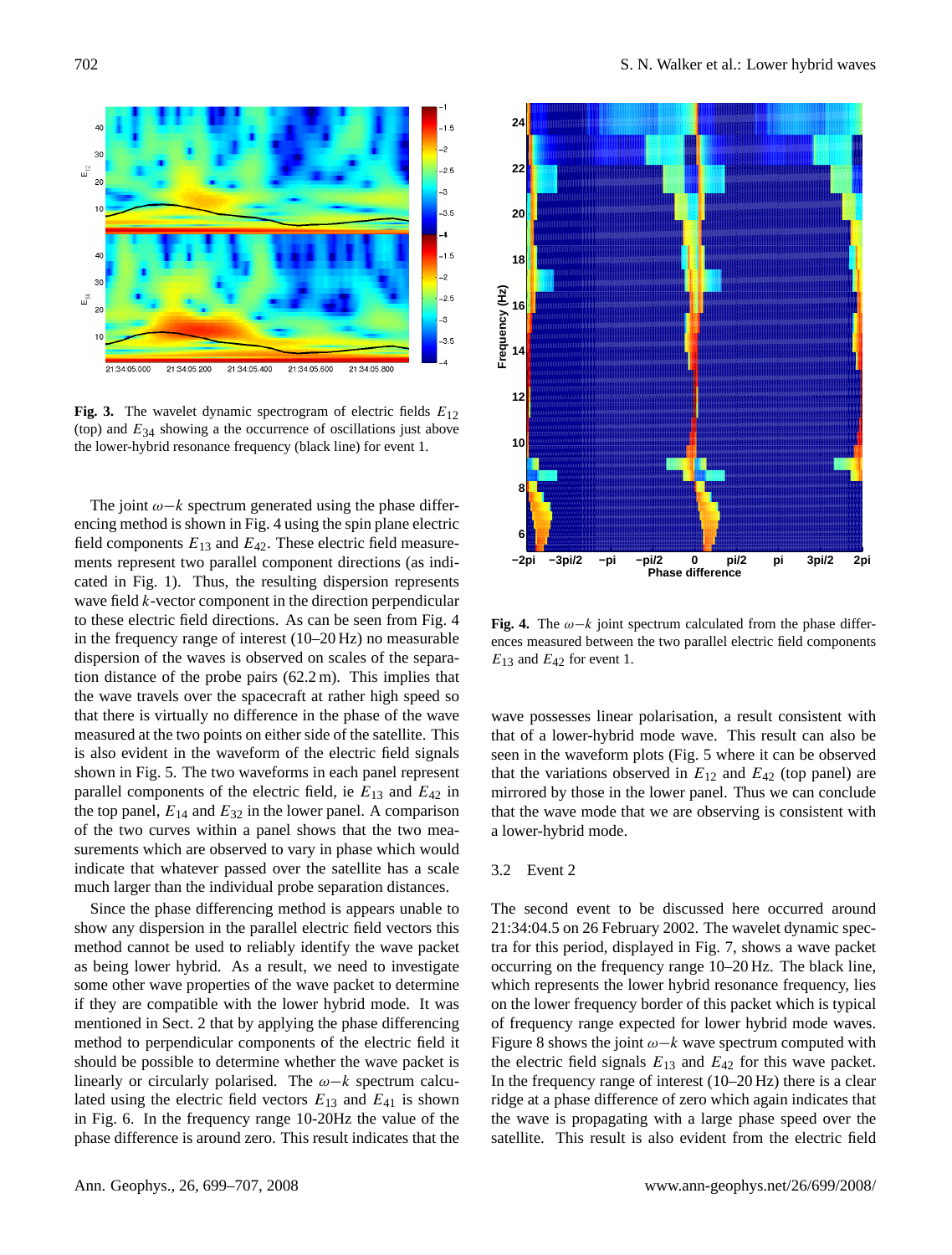

<span id="page-3-0"></span>**Fig. 3.** The wavelet dynamic spectrogram of electric fields  $E_{12}$ (top) and  $E_{34}$  showing a the occurrence of oscillations just above the lower-hybrid resonance frequency (black line) for event 1.

The joint  $\omega - k$  spectrum generated using the phase differencing method is shown in Fig. [4](#page-3-1) using the spin plane electric field components  $E_{13}$  and  $E_{42}$ . These electric field measurements represent two parallel component directions (as indicated in Fig. [1\)](#page-1-1). Thus, the resulting dispersion represents wave field k-vector component in the direction perpendicular to these electric field directions. As can be seen from Fig. [4](#page-3-1) in the frequency range of interest (10–20 Hz) no measurable dispersion of the waves is observed on scales of the separation distance of the probe pairs (62.2 m). This implies that the wave travels over the spacecraft at rather high speed so that there is virtually no difference in the phase of the wave measured at the two points on either side of the satellite. This is also evident in the waveform of the electric field signals shown in Fig. [5.](#page-4-0) The two waveforms in each panel represent parallel components of the electric field, ie  $E_{13}$  and  $E_{42}$  in the top panel,  $E_{14}$  and  $E_{32}$  in the lower panel. A comparison of the two curves within a panel shows that the two measurements which are observed to vary in phase which would indicate that whatever passed over the satellite has a scale much larger than the individual probe separation distances.

Since the phase differencing method is appears unable to show any dispersion in the parallel electric field vectors this method cannot be used to reliably identify the wave packet as being lower hybrid. As a result, we need to investigate some other wave properties of the wave packet to determine if they are compatible with the lower hybrid mode. It was mentioned in Sect. [2](#page-1-0) that by applying the phase differencing method to perpendicular components of the electric field it should be possible to determine whether the wave packet is linearly or circularly polarised. The  $\omega-k$  spectrum calculated using the electric field vectors  $E_{13}$  and  $E_{41}$  is shown in Fig. [6.](#page-4-1) In the frequency range 10-20Hz the value of the phase difference is around zero. This result indicates that the





<span id="page-3-1"></span>**Fig. 4.** The  $\omega - k$  joint spectrum calculated from the phase differences measured between the two parallel electric field components  $E_{13}$  and  $E_{42}$  for event 1.

wave possesses linear polarisation, a result consistent with that of a lower-hybrid mode wave. This result can also be seen in the waveform plots (Fig. [5](#page-4-0) where it can be observed that the variations observed in  $E_{12}$  and  $E_{42}$  (top panel) are mirrored by those in the lower panel. Thus we can conclude that the wave mode that we are observing is consistent with a lower-hybrid mode.

#### 3.2 Event 2

The second event to be discussed here occurred around 21:34:04.5 on 26 February 2002. The wavelet dynamic spectra for this period, displayed in Fig. [7,](#page-4-2) shows a wave packet occurring on the frequency range 10–20 Hz. The black line, which represents the lower hybrid resonance frequency, lies on the lower frequency border of this packet which is typical of frequency range expected for lower hybrid mode waves. Figure [8](#page-5-1) shows the joint  $\omega - k$  wave spectrum computed with the electric field signals  $E_{13}$  and  $E_{42}$  for this wave packet. In the frequency range of interest (10–20 Hz) there is a clear ridge at a phase difference of zero which again indicates that the wave is propagating with a large phase speed over the satellite. This result is also evident from the electric field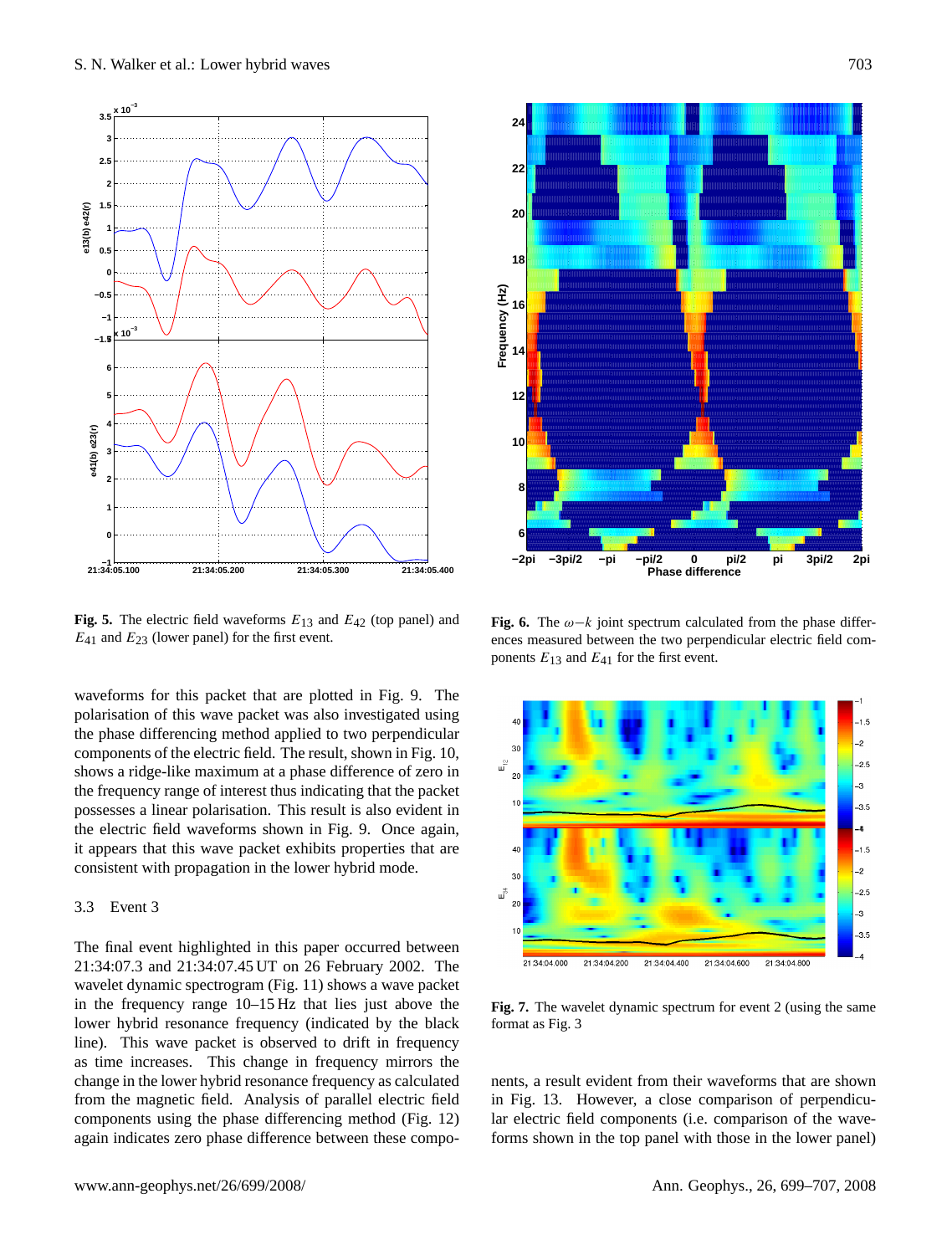

<span id="page-4-0"></span>**Fig. 5.** The electric field waveforms  $E_{13}$  and  $E_{42}$  (top panel) and  $E_{41}$  and  $E_{23}$  (lower panel) for the first event.

waveforms for this packet that are plotted in Fig. [9.](#page-5-2) The polarisation of this wave packet was also investigated using the phase differencing method applied to two perpendicular components of the electric field. The result, shown in Fig. [10,](#page-6-0) shows a ridge-like maximum at a phase difference of zero in the frequency range of interest thus indicating that the packet possesses a linear polarisation. This result is also evident in the electric field waveforms shown in Fig. [9.](#page-5-2) Once again, it appears that this wave packet exhibits properties that are consistent with propagation in the lower hybrid mode.

## 3.3 Event 3

The final event highlighted in this paper occurred between 21:34:07.3 and 21:34:07.45 UT on 26 February 2002. The wavelet dynamic spectrogram (Fig. [11\)](#page-6-1) shows a wave packet in the frequency range 10–15 Hz that lies just above the lower hybrid resonance frequency (indicated by the black line). This wave packet is observed to drift in frequency as time increases. This change in frequency mirrors the change in the lower hybrid resonance frequency as calculated from the magnetic field. Analysis of parallel electric field components using the phase differencing method (Fig. [12\)](#page-6-2) again indicates zero phase difference between these compo-



<span id="page-4-1"></span>**Fig. 6.** The  $\omega - k$  joint spectrum calculated from the phase differences measured between the two perpendicular electric field components  $E_{13}$  and  $E_{41}$  for the first event.



<span id="page-4-2"></span>**Fig. 7.** The wavelet dynamic spectrum for event 2 (using the same format as Fig. [3](#page-3-0)

nents, a result evident from their waveforms that are shown in Fig. [13.](#page-7-0) However, a close comparison of perpendicular electric field components (i.e. comparison of the waveforms shown in the top panel with those in the lower panel)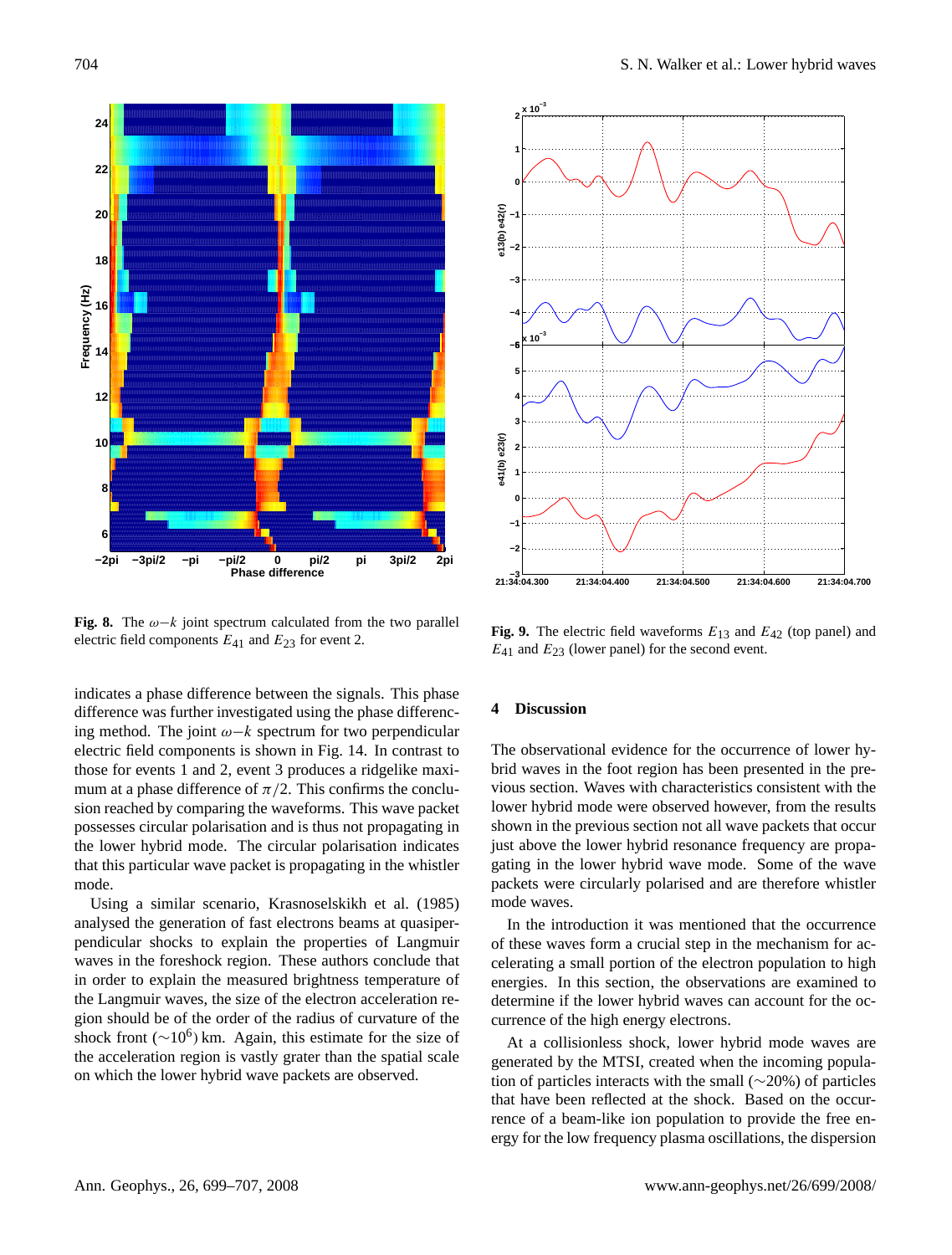

<span id="page-5-1"></span>**Fig. 8.** The  $\omega - k$  joint spectrum calculated from the two parallel electric field components  $E_{41}$  and  $E_{23}$  for event 2.

indicates a phase difference between the signals. This phase difference was further investigated using the phase differencing method. The joint  $\omega - k$  spectrum for two perpendicular electric field components is shown in Fig. [14.](#page-7-1) In contrast to those for events 1 and 2, event 3 produces a ridgelike maximum at a phase difference of  $\pi/2$ . This confirms the conclusion reached by comparing the waveforms. This wave packet possesses circular polarisation and is thus not propagating in the lower hybrid mode. The circular polarisation indicates that this particular wave packet is propagating in the whistler mode.

Using a similar scenario, [Krasnoselskikh et al.](#page-8-15) [\(1985\)](#page-8-15) analysed the generation of fast electrons beams at quasiperpendicular shocks to explain the properties of Langmuir waves in the foreshock region. These authors conclude that in order to explain the measured brightness temperature of the Langmuir waves, the size of the electron acceleration region should be of the order of the radius of curvature of the shock front ( $\sim$ 10<sup>6</sup>) km. Again, this estimate for the size of the acceleration region is vastly grater than the spatial scale on which the lower hybrid wave packets are observed.



<span id="page-5-2"></span>**Fig. 9.** The electric field waveforms  $E_{13}$  and  $E_{42}$  (top panel) and  $E_{41}$  and  $E_{23}$  (lower panel) for the second event.

#### <span id="page-5-0"></span>**4 Discussion**

The observational evidence for the occurrence of lower hybrid waves in the foot region has been presented in the previous section. Waves with characteristics consistent with the lower hybrid mode were observed however, from the results shown in the previous section not all wave packets that occur just above the lower hybrid resonance frequency are propagating in the lower hybrid wave mode. Some of the wave packets were circularly polarised and are therefore whistler mode waves.

In the introduction it was mentioned that the occurrence of these waves form a crucial step in the mechanism for accelerating a small portion of the electron population to high energies. In this section, the observations are examined to determine if the lower hybrid waves can account for the occurrence of the high energy electrons.

At a collisionless shock, lower hybrid mode waves are generated by the MTSI, created when the incoming population of particles interacts with the small (∼20%) of particles that have been reflected at the shock. Based on the occurrence of a beam-like ion population to provide the free energy for the low frequency plasma oscillations, the dispersion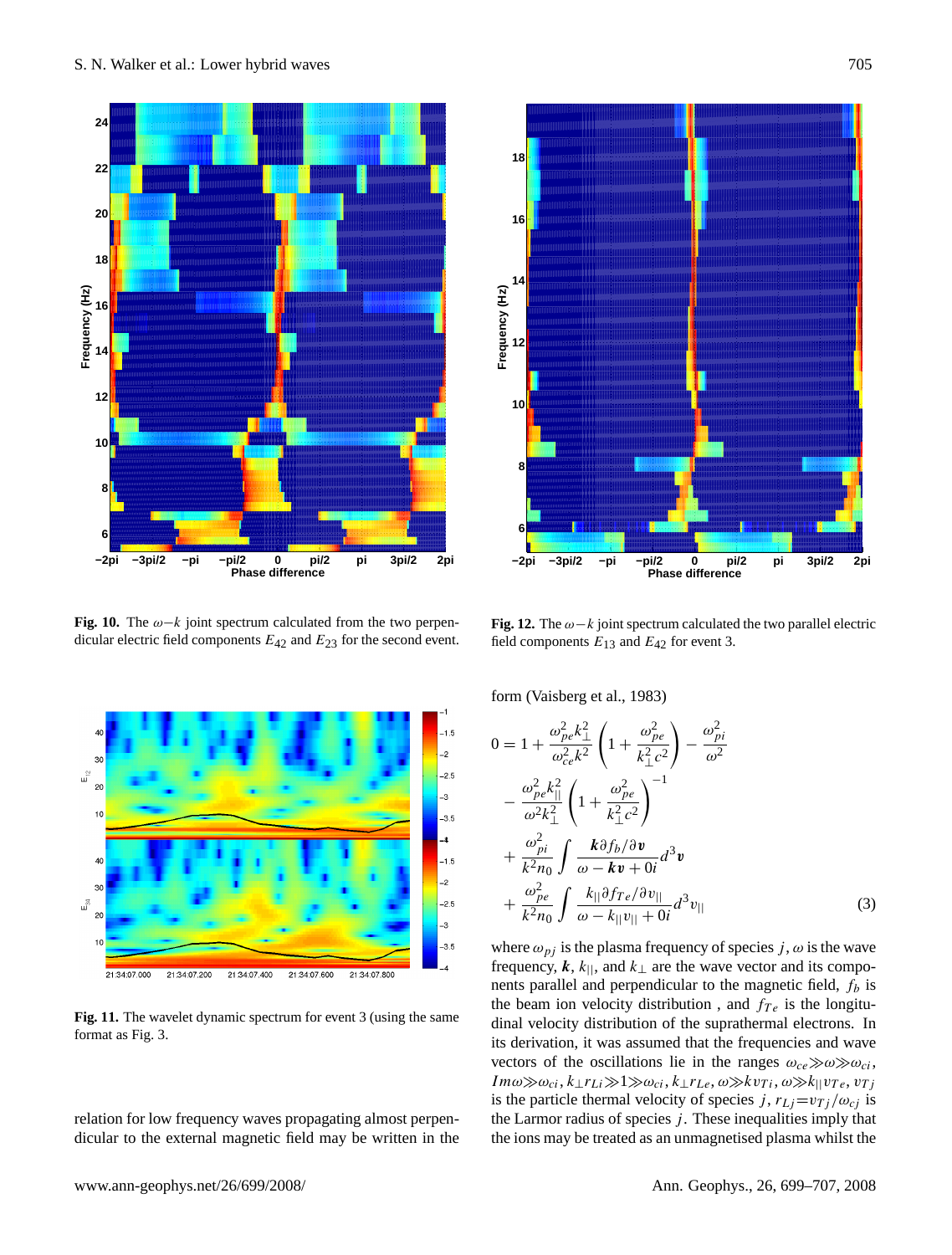

<span id="page-6-0"></span>**Fig. 10.** The  $\omega - k$  joint spectrum calculated from the two perpendicular electric field components  $E_{42}$  and  $E_{23}$  for the second event.



<span id="page-6-1"></span>**Fig. 11.** The wavelet dynamic spectrum for event 3 (using the same format as Fig. [3.](#page-3-0)

relation for low frequency waves propagating almost perpendicular to the external magnetic field may be written in the



<span id="page-6-2"></span>**Fig. 12.** The  $\omega - k$  joint spectrum calculated the two parallel electric field components  $E_{13}$  and  $E_{42}$  for event 3.

form [\(Vaisberg et al.,](#page-8-5) [1983\)](#page-8-5)

<span id="page-6-3"></span>
$$
0 = 1 + \frac{\omega_{pe}^2 k_{\perp}^2}{\omega_{ce}^2 k^2} \left( 1 + \frac{\omega_{pe}^2}{k_{\perp}^2 c^2} \right) - \frac{\omega_{pi}^2}{\omega^2}
$$

$$
- \frac{\omega_{pe}^2 k_{\parallel}^2}{\omega^2 k_{\perp}^2} \left( 1 + \frac{\omega_{pe}^2}{k_{\perp}^2 c^2} \right)^{-1}
$$

$$
+ \frac{\omega_{pi}^2}{k^2 n_0} \int \frac{\mathbf{k} \partial f_b / \partial \mathbf{v}}{\omega - \mathbf{k} \mathbf{v} + 0i} d^3 \mathbf{v}
$$

$$
+ \frac{\omega_{pe}^2}{k^2 n_0} \int \frac{k_{\parallel} \partial f_{Te} / \partial v_{\parallel}}{\omega - k_{\parallel} v_{\parallel} + 0i} d^3 v_{\parallel}
$$
(3)

where  $\omega_{pi}$  is the plasma frequency of species j,  $\omega$  is the wave frequency, k,  $k_{\parallel}$ , and  $k_{\perp}$  are the wave vector and its components parallel and perpendicular to the magnetic field,  $f_b$  is the beam ion velocity distribution, and  $f_{Te}$  is the longitudinal velocity distribution of the suprathermal electrons. In its derivation, it was assumed that the frequencies and wave vectors of the oscillations lie in the ranges  $\omega_{ce} \gg \omega \gg \omega_{ci}$ ,  $Im\omega\gg\omega_{ci}, k_{\perp}r_{Li}\gg1\gg\omega_{ci}, k_{\perp}r_{Le}, \omega\ggkv_{Ti}, \omega\gg k_{\parallel}v_{Te}, v_{Ti}$ is the particle thermal velocity of species j,  $r_{Lj}=v_{Tj}/\omega_{ci}$  is the Larmor radius of species  $j$ . These inequalities imply that the ions may be treated as an unmagnetised plasma whilst the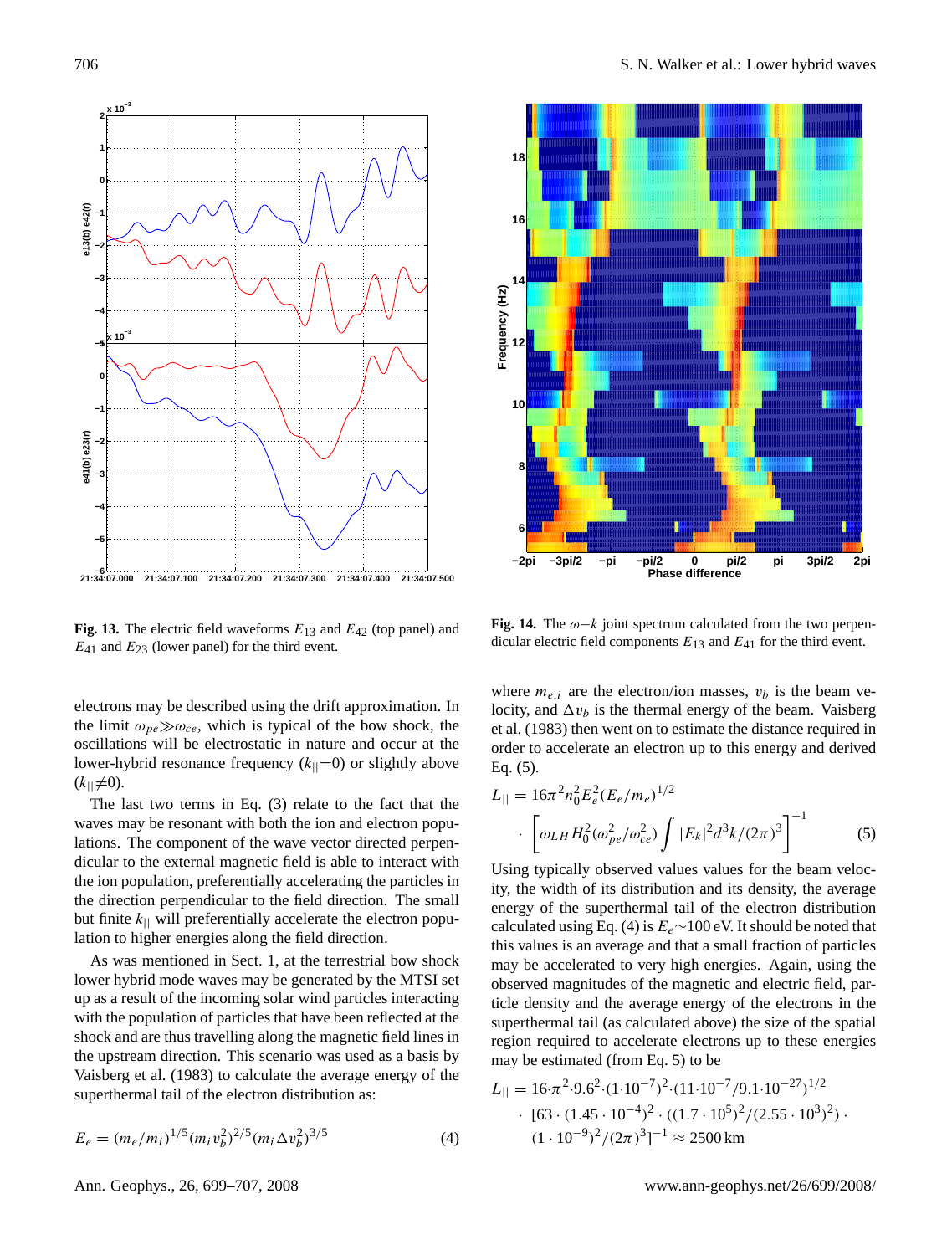

<span id="page-7-0"></span>**Fig. 13.** The electric field waveforms  $E_{13}$  and  $E_{42}$  (top panel) and  $E_{41}$  and  $E_{23}$  (lower panel) for the third event.

electrons may be described using the drift approximation. In the limit  $\omega_{pe} \gg \omega_{ce}$ , which is typical of the bow shock, the oscillations will be electrostatic in nature and occur at the lower-hybrid resonance frequency  $(k_{\parallel}=0)$  or slightly above  $(k_{\parallel}\neq 0)$ .

The last two terms in Eq. [\(3\)](#page-6-3) relate to the fact that the waves may be resonant with both the ion and electron populations. The component of the wave vector directed perpendicular to the external magnetic field is able to interact with the ion population, preferentially accelerating the particles in the direction perpendicular to the field direction. The small but finite  $k_{\parallel}$  will preferentially accelerate the electron population to higher energies along the field direction.

As was mentioned in Sect. [1,](#page-0-1) at the terrestrial bow shock lower hybrid mode waves may be generated by the MTSI set up as a result of the incoming solar wind particles interacting with the population of particles that have been reflected at the shock and are thus travelling along the magnetic field lines in the upstream direction. This scenario was used as a basis by [Vaisberg et al.](#page-8-5) [\(1983\)](#page-8-5) to calculate the average energy of the superthermal tail of the electron distribution as:

<span id="page-7-3"></span>
$$
E_e = (m_e/m_i)^{1/5} (m_i v_b^2)^{2/5} (m_i \Delta v_b^2)^{3/5}
$$
 (4)



<span id="page-7-1"></span>**Fig. 14.** The  $\omega - k$  joint spectrum calculated from the two perpendicular electric field components  $E_{13}$  and  $E_{41}$  for the third event.

where  $m_{e,i}$  are the electron/ion masses,  $v_b$  is the beam velocity, and  $\Delta v_b$  is the thermal energy of the beam. [Vaisberg](#page-8-5) [et al.](#page-8-5) [\(1983\)](#page-8-5) then went on to estimate the distance required in order to accelerate an electron up to this energy and derived Eq. [\(5\)](#page-7-2).

<span id="page-7-2"></span>
$$
L_{||} = 16\pi^2 n_0^2 E_e^2 (E_e / m_e)^{1/2}
$$

$$
\cdot \left[ \omega_{LH} H_0^2 (\omega_{pe}^2 / \omega_{ce}^2) \int |E_k|^2 d^3k / (2\pi)^3 \right]^{-1} \tag{5}
$$

Using typically observed values values for the beam velocity, the width of its distribution and its density, the average energy of the superthermal tail of the electron distribution calculated using Eq. [\(4\)](#page-7-3) is  $E_e$ ~100 eV. It should be noted that this values is an average and that a small fraction of particles may be accelerated to very high energies. Again, using the observed magnitudes of the magnetic and electric field, particle density and the average energy of the electrons in the superthermal tail (as calculated above) the size of the spatial region required to accelerate electrons up to these energies may be estimated (from Eq. [5\)](#page-7-2) to be

$$
L_{||} = 16 \cdot \pi^2 \cdot 9 \cdot 6^2 \cdot (1 \cdot 10^{-7})^2 \cdot (11 \cdot 10^{-7}/9 \cdot 1 \cdot 10^{-27})^{1/2}
$$
  
• 
$$
[63 \cdot (1.45 \cdot 10^{-4})^2 \cdot ((1.7 \cdot 10^5)^2/(2.55 \cdot 10^3)^2) \cdot (1 \cdot 10^{-9})^2/(2\pi)^3]^{-1} \approx 2500 \text{ km}
$$